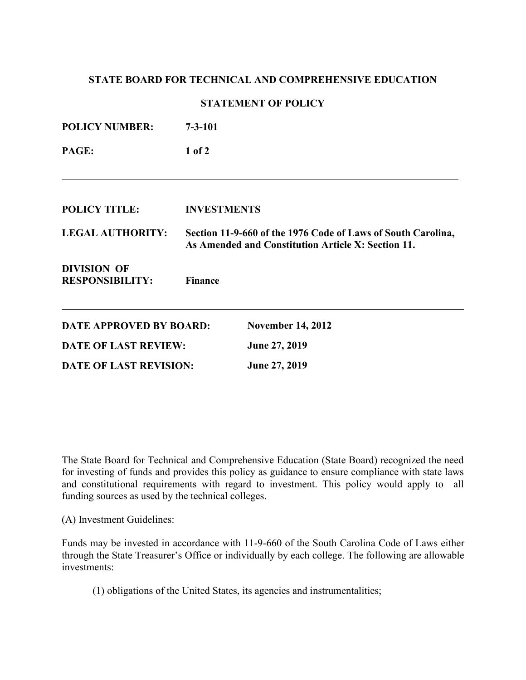## **STATE BOARD FOR TECHNICAL AND COMPREHENSIVE EDUCATION**

## **STATEMENT OF POLICY**

| <b>POLICY NUMBER:</b>                        | $7 - 3 - 101$                                                                                                      |                          |  |
|----------------------------------------------|--------------------------------------------------------------------------------------------------------------------|--------------------------|--|
| PAGE:                                        | $1$ of $2$                                                                                                         |                          |  |
|                                              |                                                                                                                    |                          |  |
| <b>POLICY TITLE:</b>                         | <b>INVESTMENTS</b>                                                                                                 |                          |  |
| <b>LEGAL AUTHORITY:</b>                      | Section 11-9-660 of the 1976 Code of Laws of South Carolina,<br>As Amended and Constitution Article X: Section 11. |                          |  |
| <b>DIVISION OF</b><br><b>RESPONSIBILITY:</b> | <b>Finance</b>                                                                                                     |                          |  |
| <b>DATE APPROVED BY BOARD:</b>               |                                                                                                                    | <b>November 14, 2012</b> |  |
| <b>DATE OF LAST REVIEW:</b>                  |                                                                                                                    | June 27, 2019            |  |
| <b>DATE OF LAST REVISION:</b>                |                                                                                                                    | June 27, 2019            |  |

The State Board for Technical and Comprehensive Education (State Board) recognized the need for investing of funds and provides this policy as guidance to ensure compliance with state laws and constitutional requirements with regard to investment. This policy would apply to all funding sources as used by the technical colleges.

(A) Investment Guidelines:

Funds may be invested in accordance with 11-9-660 of the South Carolina Code of Laws either through the State Treasurer's Office or individually by each college. The following are allowable investments:

(1) obligations of the United States, its agencies and instrumentalities;